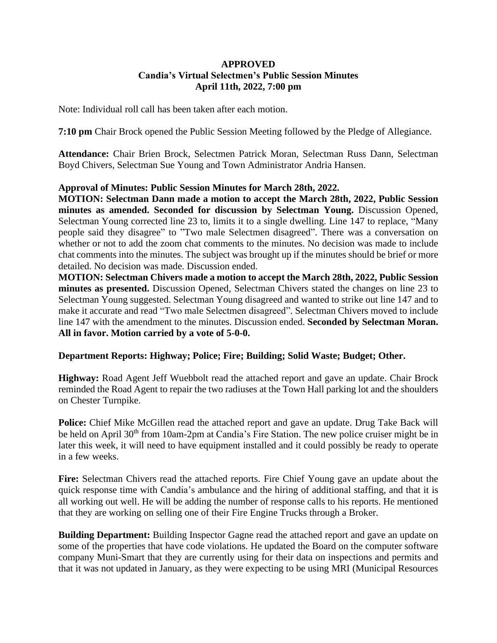# **APPROVED Candia's Virtual Selectmen's Public Session Minutes April 11th, 2022, 7:00 pm**

Note: Individual roll call has been taken after each motion.

**7:10 pm** Chair Brock opened the Public Session Meeting followed by the Pledge of Allegiance.

**Attendance:** Chair Brien Brock, Selectmen Patrick Moran, Selectman Russ Dann, Selectman Boyd Chivers, Selectman Sue Young and Town Administrator Andria Hansen.

# **Approval of Minutes: Public Session Minutes for March 28th, 2022.**

**MOTION: Selectman Dann made a motion to accept the March 28th, 2022, Public Session minutes as amended. Seconded for discussion by Selectman Young.** Discussion Opened, Selectman Young corrected line 23 to, limits it to a single dwelling. Line 147 to replace, "Many people said they disagree" to "Two male Selectmen disagreed". There was a conversation on whether or not to add the zoom chat comments to the minutes. No decision was made to include chat comments into the minutes. The subject was brought up if the minutes should be brief or more detailed. No decision was made. Discussion ended.

**MOTION: Selectman Chivers made a motion to accept the March 28th, 2022, Public Session minutes as presented.** Discussion Opened, Selectman Chivers stated the changes on line 23 to Selectman Young suggested. Selectman Young disagreed and wanted to strike out line 147 and to make it accurate and read "Two male Selectmen disagreed". Selectman Chivers moved to include line 147 with the amendment to the minutes. Discussion ended. **Seconded by Selectman Moran. All in favor. Motion carried by a vote of 5-0-0.**

# **Department Reports: Highway; Police; Fire; Building; Solid Waste; Budget; Other.**

**Highway:** Road Agent Jeff Wuebbolt read the attached report and gave an update. Chair Brock reminded the Road Agent to repair the two radiuses at the Town Hall parking lot and the shoulders on Chester Turnpike.

**Police:** Chief Mike McGillen read the attached report and gave an update. Drug Take Back will be held on April 30<sup>th</sup> from 10am-2pm at Candia's Fire Station. The new police cruiser might be in later this week, it will need to have equipment installed and it could possibly be ready to operate in a few weeks.

**Fire:** Selectman Chivers read the attached reports. Fire Chief Young gave an update about the quick response time with Candia's ambulance and the hiring of additional staffing, and that it is all working out well. He will be adding the number of response calls to his reports. He mentioned that they are working on selling one of their Fire Engine Trucks through a Broker.

**Building Department:** Building Inspector Gagne read the attached report and gave an update on some of the properties that have code violations. He updated the Board on the computer software company Muni-Smart that they are currently using for their data on inspections and permits and that it was not updated in January, as they were expecting to be using MRI (Municipal Resources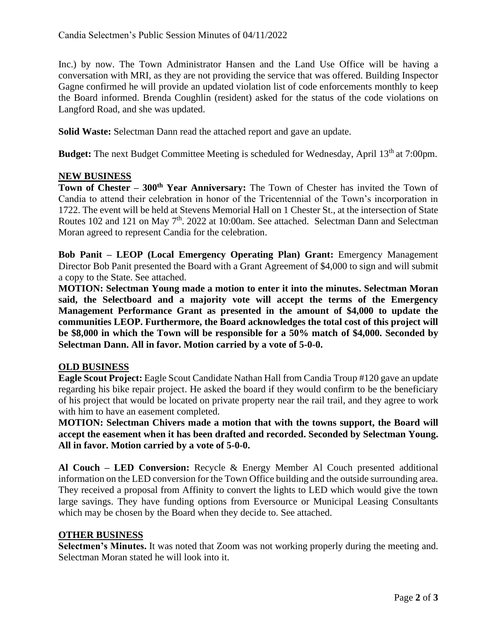Inc.) by now. The Town Administrator Hansen and the Land Use Office will be having a conversation with MRI, as they are not providing the service that was offered. Building Inspector Gagne confirmed he will provide an updated violation list of code enforcements monthly to keep the Board informed. Brenda Coughlin (resident) asked for the status of the code violations on Langford Road, and she was updated.

**Solid Waste:** Selectman Dann read the attached report and gave an update.

**Budget:** The next Budget Committee Meeting is scheduled for Wednesday, April 13<sup>th</sup> at 7:00pm.

# **NEW BUSINESS**

**Town of Chester – 300th Year Anniversary:** The Town of Chester has invited the Town of Candia to attend their celebration in honor of the Tricentennial of the Town's incorporation in 1722. The event will be held at Stevens Memorial Hall on 1 Chester St., at the intersection of State Routes 102 and 121 on May 7<sup>th</sup>. 2022 at 10:00am. See attached. Selectman Dann and Selectman Moran agreed to represent Candia for the celebration.

**Bob Panit – LEOP (Local Emergency Operating Plan) Grant:** Emergency Management Director Bob Panit presented the Board with a Grant Agreement of \$4,000 to sign and will submit a copy to the State. See attached.

**MOTION: Selectman Young made a motion to enter it into the minutes. Selectman Moran said, the Selectboard and a majority vote will accept the terms of the Emergency Management Performance Grant as presented in the amount of \$4,000 to update the communities LEOP. Furthermore, the Board acknowledges the total cost of this project will be \$8,000 in which the Town will be responsible for a 50% match of \$4,000. Seconded by Selectman Dann. All in favor. Motion carried by a vote of 5-0-0.**

# **OLD BUSINESS**

**Eagle Scout Project:** Eagle Scout Candidate Nathan Hall from Candia Troup #120 gave an update regarding his bike repair project. He asked the board if they would confirm to be the beneficiary of his project that would be located on private property near the rail trail, and they agree to work with him to have an easement completed.

**MOTION: Selectman Chivers made a motion that with the towns support, the Board will accept the easement when it has been drafted and recorded. Seconded by Selectman Young. All in favor. Motion carried by a vote of 5-0-0.**

**Al Couch – LED Conversion:** Recycle & Energy Member Al Couch presented additional information on the LED conversion for the Town Office building and the outside surrounding area. They received a proposal from Affinity to convert the lights to LED which would give the town large savings. They have funding options from Eversource or Municipal Leasing Consultants which may be chosen by the Board when they decide to. See attached.

# **OTHER BUSINESS**

**Selectmen's Minutes.** It was noted that Zoom was not working properly during the meeting and. Selectman Moran stated he will look into it.